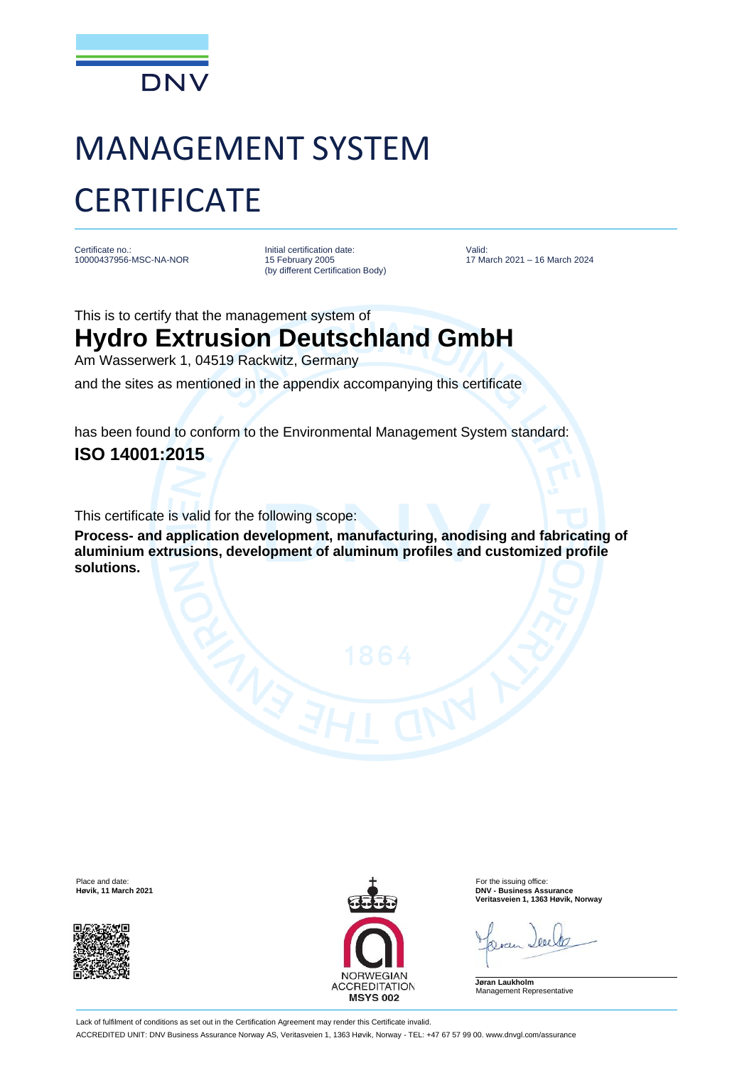

## MANAGEMENT SYSTEM **CERTIFICATE**

Certificate no.: 10000437956-MSC-NA-NOR Initial certification date: 15 February 2005 (by different Certification Body)

Valid: 17 March 2021 – 16 March 2024

This is to certify that the management system of

## **Hydro Extrusion Deutschland GmbH**

Am Wasserwerk 1, 04519 Rackwitz, Germany

and the sites as mentioned in the appendix accompanying this certificate

has been found to conform to the Environmental Management System standard: **ISO 14001:2015**

This certificate is valid for the following scope:

**Process- and application development, manufacturing, anodising and fabricating of aluminium extrusions, development of aluminum profiles and customized profile solutions.**





**Høvik, 11 March 2021 DNV - Business Assurance Veritasveien 1, 1363 Høvik, Norway**

**Jøran Laukholm** Management Representative

Lack of fulfilment of conditions as set out in the Certification Agreement may render this Certificate invalid. ACCREDITED UNIT: DNV Business Assurance Norway AS, Veritasveien 1, 1363 Høvik, Norway - TEL: +47 67 57 99 00. www.dnvgl.com/assurance